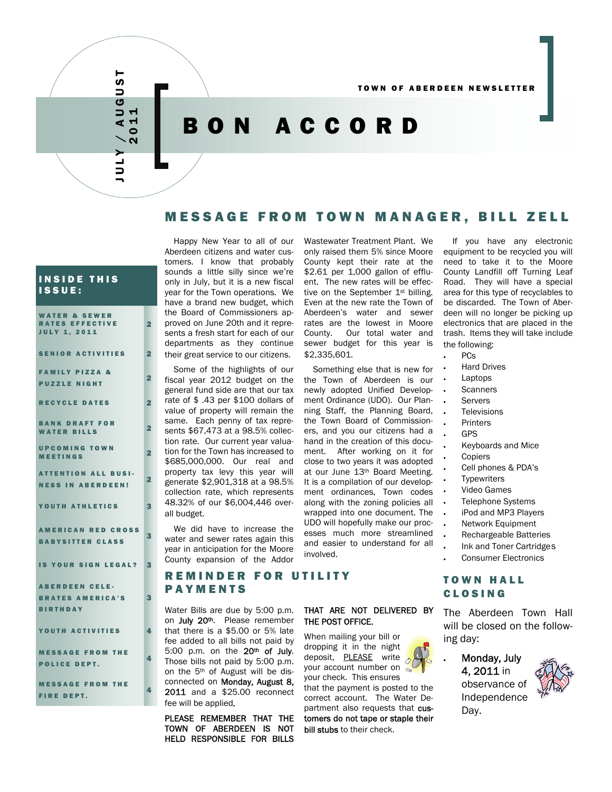# JULY / AUGUST 2011

AUGUST

# BON ACCORD

# MESSAGE FROM TOWN MANAGER, BILL ZELL

#### INSIDE THIS ISSUE:

| <b>WATER &amp; SEWER</b><br><b>RATES EFFECTIVE</b><br><b>JULY 1, 2011</b> | 2              |
|---------------------------------------------------------------------------|----------------|
| <b>SENIOR ACTIVITIES</b>                                                  | $\overline{2}$ |
| <b>FAMILY PIZZA &amp;</b><br><b>PUZZLE NIGHT</b>                          | 2              |
| <b>RECYCLE DATES</b>                                                      | $\overline{2}$ |
| <b>BANK DRAFT FOR</b><br><b>WATER BILLS</b>                               | 2              |
| <b>UPCOMING TOWN</b><br><b>MEETINGS</b>                                   | 2              |
| <b>ATTENTION ALL BUSI-</b><br><b>NESS IN ABERDEEN!</b>                    | $\overline{2}$ |
| YOUTH ATHLETICS                                                           | 3              |
| <b>AMERICAN RED CROSS</b><br><b>BABYSITTER CLASS</b>                      | 3              |
| IS YOUR SIGN LEGAL?                                                       | 3              |
| <b>ABERDEEN CELE-</b><br><b>BRATES AMERICA'S</b><br><b>BIRTHDAY</b>       | 3              |
| YOUTH ACTIVITIES                                                          | Δ,             |
| <b>MESSAGE FROM THE</b><br><b>POLICE DEPT.</b>                            | 4              |
| <b>MESSAGE FROM THE</b><br><b>FIRE DEPT.</b>                              | 4              |

Happy New Year to all of our Aberdeen citizens and water customers. I know that probably sounds a little silly since we're only in July, but it is a new fiscal year for the Town operations. We have a brand new budget, which the Board of Commissioners approved on June 20th and it represents a fresh start for each of our departments as they continue their great service to our citizens.

Some of the highlights of our fiscal year 2012 budget on the general fund side are that our tax rate of \$ .43 per \$100 dollars of value of property will remain the same. Each penny of tax represents \$67,473 at a 98.5% collection rate. Our current year valuation for the Town has increased to \$685,000,000. Our real and property tax levy this year will generate \$2,901,318 at a 98.5% collection rate, which represents 48.32% of our \$6,004,446 overall budget.

We did have to increase the water and sewer rates again this year in anticipation for the Moore County expansion of the Addor

# REMINDER FOR UTILITY PAYMENTS

Water Bills are due by 5:00 p.m. on July 20<sup>th</sup>. Please remember that there is a \$5.00 or 5% late fee added to all bills not paid by 5:00 p.m. on the 20th of July. Those bills not paid by 5:00 p.m. on the 5th of August will be disconnected on Monday, August 8, 2011 and a \$25.00 reconnect fee will be applied*.* 

PLEASE REMEMBER THAT THE TOWN OF ABERDEEN IS NOT HELD RESPONSIBLE FOR BILLS

Wastewater Treatment Plant. We only raised them 5% since Moore County kept their rate at the \$2.61 per 1,000 gallon of effluent. The new rates will be effective on the September 1<sup>st</sup> billing. Even at the new rate the Town of Aberdeen's water and sewer rates are the lowest in Moore County. Our total water and sewer budget for this year is \$2,335,601.

Something else that is new for the Town of Aberdeen is our newly adopted Unified Development Ordinance (UDO). Our Planning Staff, the Planning Board, the Town Board of Commissioners, and you our citizens had a hand in the creation of this document. After working on it for close to two years it was adopted at our June 13th Board Meeting. It is a compilation of our development ordinances, Town codes along with the zoning policies all wrapped into one document. The UDO will hopefully make our processes much more streamlined and easier to understand for all involved.

THAT ARE NOT DELIVERED BY

THE POST OFFICE.

When mailing your bill or dropping it in the night deposit, **PLEASE** write  $\delta$ vour account number on  $\sim$ your check. This ensures that the payment is posted to the correct account. The Water Department also requests that customers do not tape or staple their

bill stubs to their check.

If you have any electronic equipment to be recycled you will need to take it to the Moore County Landfill off Turning Leaf Road. They will have a special area for this type of recyclables to be discarded. The Town of Aberdeen will no longer be picking up electronics that are placed in the trash. Items they will take include the following:

- PCs
- Hard Drives
- **Laptops**
- **Scanners**
- **Servers**
- **Televisions**
- **Printers**
- GPS
	- Keyboards and Mice
- **Copiers**
- Cell phones & PDA's
- **Typewriters**
- Video Games
- Telephone Systems
- iPod and MP3 Players
- Network Equipment
- Rechargeable Batteries
- Ink and Toner Cartridge s
- Consumer Electronics

# TOWN HALL CLOSING

The Aberdeen Town Hall will be closed on the following day:

• Monday, July 4, 2011 in observance of Independence Day.

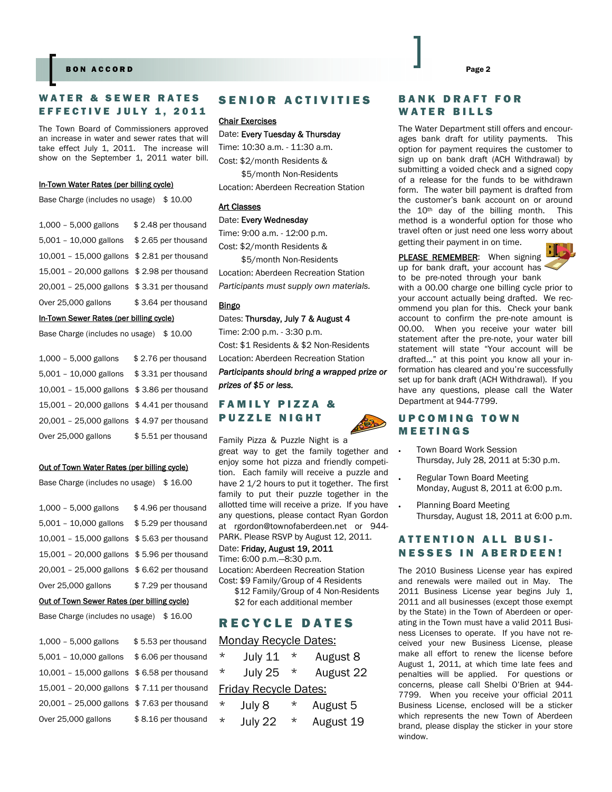#### **BON ACCORD**

# WATER & SEWER RATES EFFECTIVE JULY 1, 2011

The Town Board of Commissioners approved an increase in water and sewer rates that will take effect July 1, 2011. The increase will show on the September 1, 2011 water bill.

#### In-Town Water Rates (per billing cycle)

Base Charge (includes no usage) \$10.00

| 1,000 - 5,000 gallons                       | \$2.48 per thousand |
|---------------------------------------------|---------------------|
| 5,001 - 10,000 gallons                      | \$2.65 per thousand |
| 10,001 - 15,000 gallons \$2.81 per thousand |                     |
| 15,001 - 20,000 gallons \$2.98 per thousand |                     |
| 20,001 - 25,000 gallons \$3.31 per thousand |                     |
| Over 25,000 gallons                         | \$3.64 per thousand |

#### In-Town Sewer Rates (per billing cycle)

```
Base Charge (includes no usage) $10.00
```

| 1,000 - 5,000 gallons                       | \$2.76 per thousand |
|---------------------------------------------|---------------------|
| $5,001 - 10,000$ gallons                    | \$3.31 per thousand |
| 10,001 - 15,000 gallons \$3.86 per thousand |                     |
| 15,001 - 20,000 gallons \$4.41 per thousand |                     |
| 20,001 - 25,000 gallons \$4.97 per thousand |                     |
| Over 25,000 gallons                         | \$5.51 per thousand |

#### Out of Town Water Rates (per billing cycle)

|  | Base Charge (includes no usage) | \$ 16.00 |
|--|---------------------------------|----------|
|--|---------------------------------|----------|

| $1,000 - 5,000$ gallons                     | \$4.96 per thousand |
|---------------------------------------------|---------------------|
| $5,001 - 10,000$ gallons                    | \$5.29 per thousand |
| 10,001 - 15,000 gallons \$5.63 per thousand |                     |
| 15,001 - 20,000 gallons \$5.96 per thousand |                     |
| 20,001 - 25,000 gallons \$6.62 per thousand |                     |
| Over 25,000 gallons                         | \$7.29 per thousand |

#### Out of Town Sewer Rates (per billing cycle)

| Base Charge (includes no usage)             | \$16.00             |
|---------------------------------------------|---------------------|
| $1,000 - 5,000$ gallons                     | \$5.53 per thousand |
| $5,001 - 10,000$ gallons                    | \$6.06 per thousand |
| 10,001 - 15,000 gallons \$6.58 per thousand |                     |
| 15,001 - 20,000 gallons \$7.11 per thousand |                     |
| 20,001 - 25,000 gallons \$7.63 per thousand |                     |
| Over 25,000 gallons                         | \$8.16 per thousand |

# SENIOR ACTIVITIES

#### Chair Exercises

Date: Every Tuesday & Thursday Time: 10:30 a.m. - 11:30 a.m. Cost: \$2/month Residents & \$5/month Non-Residents Location: Aberdeen Recreation Station

#### Art Classes

#### Date: Every Wednesday

Time: 9:00 a.m. - 12:00 p.m. Cost: \$2/month Residents &

 \$5/month Non-Residents Location: Aberdeen Recreation Station *Participants must supply own materials.* 

#### Bingo

Dates: Thursday, July 7 & August 4 Time: 2:00 p.m. - 3:30 p.m. Cost: \$1 Residents & \$2 Non-Residents Location: Aberdeen Recreation Station *Participants should bring a wrapped prize or prizes of \$5 or less.*

# FAMILY PIZZA & PUZZLE NIGHT



great way to get the family together and enjoy some hot pizza and friendly competition. Each family will receive a puzzle and have 2 1/2 hours to put it together. The first family to put their puzzle together in the allotted time will receive a prize. If you have any questions, please contact Ryan Gordon at rgordon@townofaberdeen.net or 944- PARK. Please RSVP by August 12, 2011.

#### Date: Friday, August 19, 2011

Time: 6:00 p.m.—8:30 p.m. Location: Aberdeen Recreation Station Cost: \$9 Family/Group of 4 Residents

 \$12 Family/Group of 4 Non-Residents \$2 for each additional member

# RECYCLE DATES

#### Monday Recycle Dates:

| $^\star$                     | July 11 | $^\star$ | August 8  |
|------------------------------|---------|----------|-----------|
| $\star$                      | July 25 | $^\star$ | August 22 |
| <b>Friday Recycle Dates:</b> |         |          |           |
| $^\star$                     | July 8  | *        | August 5  |
| $\star$                      | July 22 | $^\star$ | August 19 |

#### BANK DRAFT FOR WATER BILLS

The Water Department still offers and encourages bank draft for utility payments. This option for payment requires the customer to sign up on bank draft (ACH Withdrawal) by submitting a voided check and a signed copy of a release for the funds to be withdrawn form. The water bill payment is drafted from the customer's bank account on or around the 10th day of the billing month. This method is a wonderful option for those who travel often or just need one less worry about getting their payment in on time.

PLEASE REMEMBER: When signing



up for bank draft, your account has to be pre-noted through your bank

with a 00.00 charge one billing cycle prior to your account actually being drafted. We recommend you plan for this. Check your bank account to confirm the pre-note amount is 00.00. When you receive your water bill statement after the pre-note, your water bill statement will state "Your account will be drafted…" at this point you know all your information has cleared and you're successfully set up for bank draft (ACH Withdrawal). If you have any questions, please call the Water Department at 944-7799.

# UPCOMING TOWN MEETINGS

- Town Board Work Session Thursday, July 28, 2011 at 5:30 p.m.
- Regular Town Board Meeting Monday, August 8, 2011 at 6:00 p.m.
- Planning Board Meeting Thursday, August 18, 2011 at 6:00 p.m.

# ATTENTION ALL BUSI-NESSES IN ABERDEEN!

The 2010 Business License year has expired and renewals were mailed out in May. The 2011 Business License year begins July 1, 2011 and all businesses (except those exempt by the State) in the Town of Aberdeen or operating in the Town must have a valid 2011 Business Licenses to operate. If you have not received your new Business License, please make all effort to renew the license before August 1, 2011, at which time late fees and penalties will be applied. For questions or concerns, please call Shelbi O'Brien at 944- 7799. When you receive your official 2011 Business License, enclosed will be a sticker which represents the new Town of Aberdeen brand, please display the sticker in your store window.

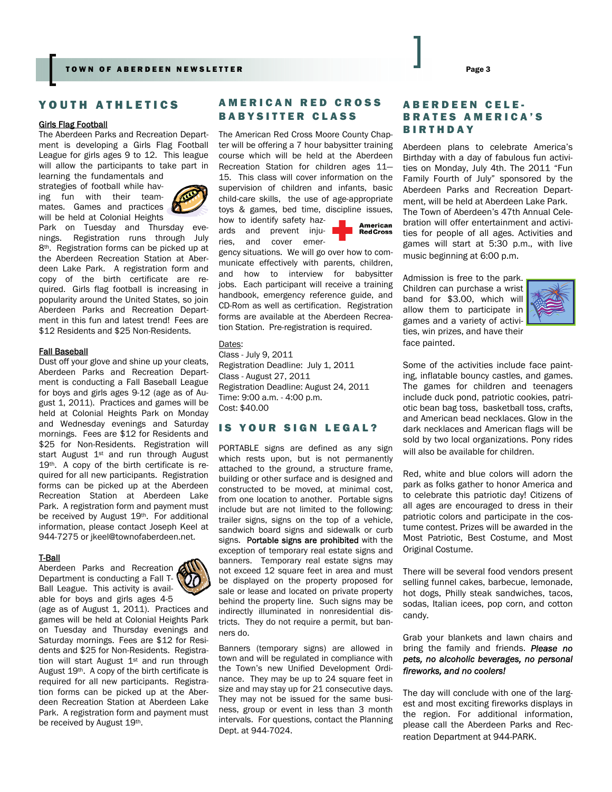# YOUTH ATHLETICS

#### Girls Flag Football

The Aberdeen Parks and Recreation Department is developing a Girls Flag Football League for girls ages 9 to 12. This league will allow the participants to take part in learning the fundamentals and

strategies of football while having fun with their teammates. Games and practices  $\mathbb P$ will be held at Colonial Heights



Park on Tuesday and Thursday evenings. Registration runs through July 8<sup>th</sup>. Registration forms can be picked up at the Aberdeen Recreation Station at Aberdeen Lake Park. A registration form and copy of the birth certificate are required. Girls flag football is increasing in popularity around the United States, so join Aberdeen Parks and Recreation Department in this fun and latest trend! Fees are \$12 Residents and \$25 Non-Residents.

#### Fall Baseball

Dust off your glove and shine up your cleats, Aberdeen Parks and Recreation Department is conducting a Fall Baseball League for boys and girls ages 9-12 (age as of August 1, 2011). Practices and games will be held at Colonial Heights Park on Monday and Wednesday evenings and Saturday mornings. Fees are \$12 for Residents and \$25 for Non-Residents. Registration will start August 1<sup>st</sup> and run through August 19<sup>th</sup>. A copy of the birth certificate is required for all new participants. Registration forms can be picked up at the Aberdeen Recreation Station at Aberdeen Lake Park. A registration form and payment must be received by August 19th. For additional information, please contact Joseph Keel at 944-7275 or jkeel@townofaberdeen.net.

#### T-Ball



Aberdeen Parks and Recreation Department is conducting a Fall T-Ball League. This activity is available for boys and girls ages 4-5 (age as of August 1, 2011). Practices and

games will be held at Colonial Heights Park on Tuesday and Thursday evenings and Saturday mornings. Fees are \$12 for Residents and \$25 for Non-Residents. Registration will start August 1<sup>st</sup> and run through August 19<sup>th</sup>. A copy of the birth certificate is required for all new participants. Registration forms can be picked up at the Aberdeen Recreation Station at Aberdeen Lake Park. A registration form and payment must be received by August 19th.

# AMERICAN RED CROSS BABYSITTER CLASS

The American Red Cross Moore County Chapter will be offering a 7 hour babysitter training course which will be held at the Aberdeen Recreation Station for children ages 11— 15. This class will cover information on the supervision of children and infants, basic child-care skills, the use of age-appropriate toys & games, bed time, discipline issues,

how to identify safety hazards and prevent injuries, and cover emer-



gency situations. We will go over how to communicate effectively with parents, children, and how to interview for babysitter jobs. Each participant will receive a training handbook, emergency reference guide, and CD-Rom as well as certification. Registration forms are available at the Aberdeen Recreation Station. Pre-registration is required.

Dates:

Class - July 9, 2011 Registration Deadline: July 1, 2011 Class - August 27, 2011 Registration Deadline: August 24, 2011 Time: 9:00 a.m. - 4:00 p.m. Cost: \$40.00

# IS YOUR SIGN LEGAL?

PORTABLE signs are defined as any sign which rests upon, but is not permanently attached to the ground, a structure frame, building or other surface and is designed and constructed to be moved, at minimal cost, from one location to another. Portable signs include but are not limited to the following: trailer signs, signs on the top of a vehicle, sandwich board signs and sidewalk or curb signs. Portable signs are prohibited with the exception of temporary real estate signs and banners. Temporary real estate signs may not exceed 12 square feet in area and must be displayed on the property proposed for sale or lease and located on private property behind the property line. Such signs may be indirectly illuminated in nonresidential districts. They do not require a permit, but banners do.

Banners (temporary signs) are allowed in town and will be regulated in compliance with the Town's new Unified Development Ordinance. They may be up to 24 square feet in size and may stay up for 21 consecutive days. They may not be issued for the same business, group or event in less than 3 month intervals. For questions, contact the Planning Dept. at 944-7024.

# ABERDEEN CELE-BRATES AMERICA'S BIRTHDAY

Aberdeen plans to celebrate America's Birthday with a day of fabulous fun activities on Monday, July 4th. The 2011 "Fun Family Fourth of July" sponsored by the Aberdeen Parks and Recreation Department, will be held at Aberdeen Lake Park. The Town of Aberdeen's 47th Annual Celebration will offer entertainment and activities for people of all ages. Activities and games will start at 5:30 p.m., with live music beginning at 6:00 p.m.

Admission is free to the park. Children can purchase a wrist band for \$3.00, which will allow them to participate in games and a variety of activities, win prizes, and have their face painted.



Some of the activities include face painting, inflatable bouncy castles, and games. The games for children and teenagers include duck pond, patriotic cookies, patriotic bean bag toss, basketball toss, crafts, and American bead necklaces. Glow in the dark necklaces and American flags will be sold by two local organizations. Pony rides will also be available for children.

Red, white and blue colors will adorn the park as folks gather to honor America and to celebrate this patriotic day! Citizens of all ages are encouraged to dress in their patriotic colors and participate in the costume contest. Prizes will be awarded in the Most Patriotic, Best Costume, and Most Original Costume.

There will be several food vendors present selling funnel cakes, barbecue, lemonade, hot dogs, Philly steak sandwiches, tacos, sodas, Italian icees, pop corn, and cotton candy.

Grab your blankets and lawn chairs and bring the family and friends. *Please no pets, no alcoholic beverages, no personal fireworks, and no coolers!* 

The day will conclude with one of the largest and most exciting fireworks displays in the region. For additional information, please call the Aberdeen Parks and Recreation Department at 944-PARK.